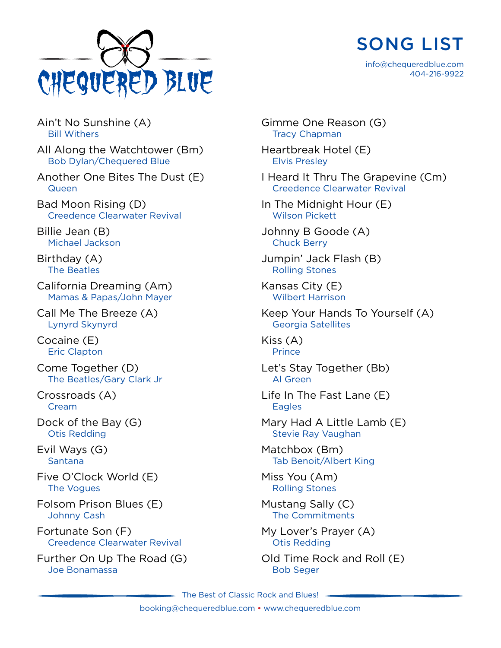



info@chequeredblue.com 404-216-9922

Ain't No Sunshine (A) Bill Withers

All Along the Watchtower (Bm) Bob Dylan/Chequered Blue

Another One Bites The Dust (E) **Queen** 

Bad Moon Rising (D) Creedence Clearwater Revival

Billie Jean (B) Michael Jackson

Birthday (A) The Beatles

California Dreaming (Am) Mamas & Papas/John Mayer

Call Me The Breeze (A) Lynyrd Skynyrd

Cocaine (E) Eric Clapton

Come Together (D) The Beatles/Gary Clark Jr

Crossroads (A) **Cream** 

Dock of the Bay (G) Otis Redding

Evil Ways (G) Santana

Five O'Clock World (E) The Vogues

Folsom Prison Blues (E) Johnny Cash

Fortunate Son (F) Creedence Clearwater Revival

Further On Up The Road (G) Joe Bonamassa

Gimme One Reason (G) Tracy Chapman Heartbreak Hotel (E) Elvis Presley I Heard It Thru The Grapevine (Cm) Creedence Clearwater Revival In The Midnight Hour (E) Wilson Pickett Johnny B Goode (A) Chuck Berry Jumpin' Jack Flash (B) Rolling Stones Kansas City (E) Wilbert Harrison Keep Your Hands To Yourself (A) Georgia Satellites Kiss (A) **Prince** Let's Stay Together (Bb) Al Green Life In The Fast Lane (E) **Eagles** Mary Had A Little Lamb (E) Stevie Ray Vaughan Matchbox (Bm) Tab Benoit/Albert King Miss You (Am) Rolling Stones Mustang Sally (C) The Commitments My Lover's Prayer (A) Otis Redding Old Time Rock and Roll (E)

Bob Seger

The Best of Classic Rock and Blues! -

booking@chequeredblue.com • www.chequeredblue.com